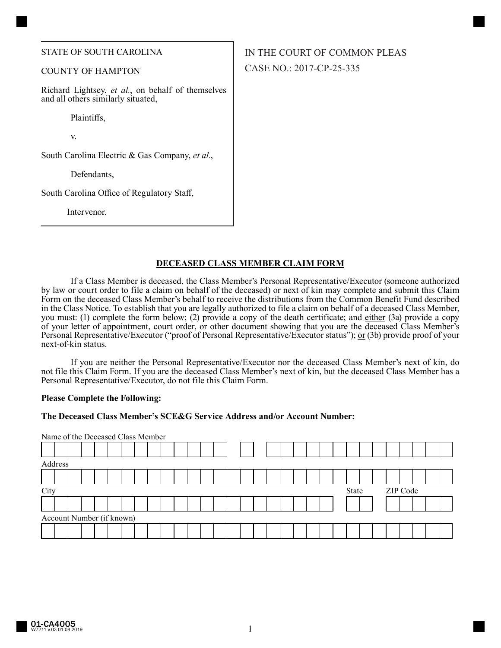#### STATE OF SOUTH CAROLINA

#### COUNTY OF HAMPTON

Richard Lightsey, *et al.*, on behalf of themselves and all others similarly situated,

Plaintiffs,

v.

South Carolina Electric & Gas Company, *et al.*,

Defendants,

South Carolina Office of Regulatory Staff,

Intervenor.

# IN THE COURT OF COMMON PLEAS CASE NO.: 2017-CP-25-335

# **DECEASED CLASS MEMBER CLAIM FORM**

If a Class Member is deceased, the Class Member's Personal Representative/Executor (someone authorized by law or court order to file a claim on behalf of the deceased) or next of kin may complete and submit this Claim Form on the deceased Class Member's behalf to receive the distributions from the Common Benefit Fund described in the Class Notice. To establish that you are legally authorized to file a claim on behalf of a deceased Class Member, you must: (1) complete the form below; (2) provide a copy of the death certificate; and either (3a) provide a copy of your letter of appointment, court order, or other document showing that you are the deceased Class Member's Personal Representative/Executor ("proof of Personal Representative/Executor status"); or (3b) provide proof of your next-of-kin status.

If you are neither the Personal Representative/Executor nor the deceased Class Member's next of kin, do not file this Claim Form. If you are the deceased Class Member's next of kin, but the deceased Class Member has a Personal Representative/Executor, do not file this Claim Form.

#### **Please Complete the Following:**

## **The Deceased Class Member's SCE&G Service Address and/or Account Number:**

|      | Name of the Deceased Class Member |  |  |  |  |  |  |  |  |  |  |  |                   |  |  |  |  |  |  |  |  |  |  |
|------|-----------------------------------|--|--|--|--|--|--|--|--|--|--|--|-------------------|--|--|--|--|--|--|--|--|--|--|
|      |                                   |  |  |  |  |  |  |  |  |  |  |  |                   |  |  |  |  |  |  |  |  |  |  |
|      | Address                           |  |  |  |  |  |  |  |  |  |  |  |                   |  |  |  |  |  |  |  |  |  |  |
|      |                                   |  |  |  |  |  |  |  |  |  |  |  |                   |  |  |  |  |  |  |  |  |  |  |
| City |                                   |  |  |  |  |  |  |  |  |  |  |  | ZIP Code<br>State |  |  |  |  |  |  |  |  |  |  |
|      |                                   |  |  |  |  |  |  |  |  |  |  |  |                   |  |  |  |  |  |  |  |  |  |  |
|      | Account Number (if known)         |  |  |  |  |  |  |  |  |  |  |  |                   |  |  |  |  |  |  |  |  |  |  |
|      |                                   |  |  |  |  |  |  |  |  |  |  |  |                   |  |  |  |  |  |  |  |  |  |  |